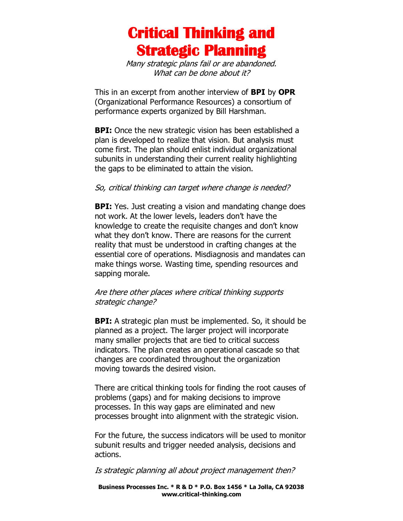## **Critical Thinking and Strategic Planning**

Many strategic plans fail or are abandoned. What can be done about it?

This in an excerpt from another interview of **BPI** by **OPR** (Organizational Performance Resources) a consortium of performance experts organized by Bill Harshman.

**BPI:** Once the new strategic vision has been established a plan is developed to realize that vision. But analysis must come first. The plan should enlist individual organizational subunits in understanding their current reality highlighting the gaps to be eliminated to attain the vision.

## So, critical thinking can target where change is needed?

**BPI:** Yes. Just creating a vision and mandating change does not work. At the lower levels, leaders don't have the knowledge to create the requisite changes and don't know what they don't know. There are reasons for the current reality that must be understood in crafting changes at the essential core of operations. Misdiagnosis and mandates can make things worse. Wasting time, spending resources and sapping morale.

## Are there other places where critical thinking supports strategic change?

**BPI:** A strategic plan must be implemented. So, it should be planned as a project. The larger project will incorporate many smaller projects that are tied to critical success indicators. The plan creates an operational cascade so that changes are coordinated throughout the organization moving towards the desired vision.

There are critical thinking tools for finding the root causes of problems (gaps) and for making decisions to improve processes. In this way gaps are eliminated and new processes brought into alignment with the strategic vision.

For the future, the success indicators will be used to monitor subunit results and trigger needed analysis, decisions and actions.

Is strategic planning all about project management then?